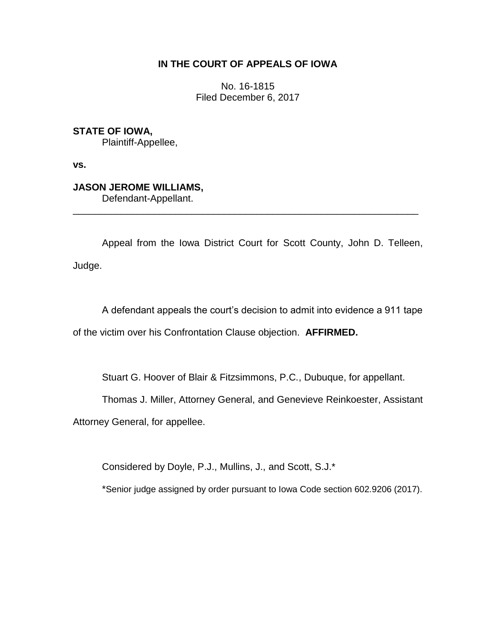## **IN THE COURT OF APPEALS OF IOWA**

No. 16-1815 Filed December 6, 2017

**STATE OF IOWA,**

Plaintiff-Appellee,

**vs.**

# **JASON JEROME WILLIAMS,**

Defendant-Appellant.

Appeal from the Iowa District Court for Scott County, John D. Telleen, Judge.

\_\_\_\_\_\_\_\_\_\_\_\_\_\_\_\_\_\_\_\_\_\_\_\_\_\_\_\_\_\_\_\_\_\_\_\_\_\_\_\_\_\_\_\_\_\_\_\_\_\_\_\_\_\_\_\_\_\_\_\_\_\_\_\_

A defendant appeals the court's decision to admit into evidence a 911 tape of the victim over his Confrontation Clause objection. **AFFIRMED.**

Stuart G. Hoover of Blair & Fitzsimmons, P.C., Dubuque, for appellant.

Thomas J. Miller, Attorney General, and Genevieve Reinkoester, Assistant

Attorney General, for appellee.

Considered by Doyle, P.J., Mullins, J., and Scott, S.J.\*

\*Senior judge assigned by order pursuant to Iowa Code section 602.9206 (2017).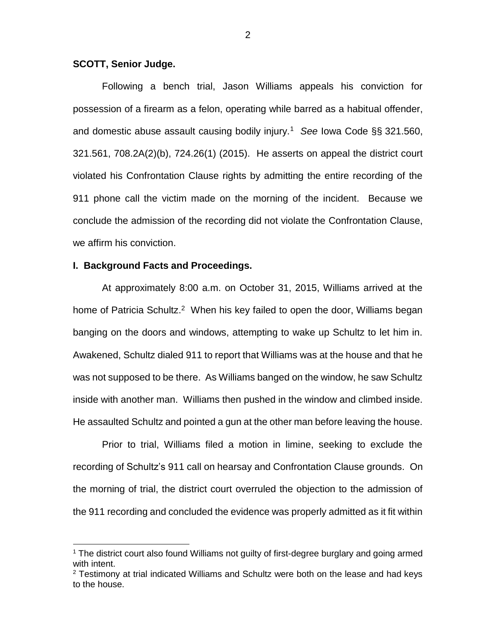#### **SCOTT, Senior Judge.**

Following a bench trial, Jason Williams appeals his conviction for possession of a firearm as a felon, operating while barred as a habitual offender, and domestic abuse assault causing bodily injury.<sup>1</sup> *See* Iowa Code §§ 321.560, 321.561, 708.2A(2)(b), 724.26(1) (2015). He asserts on appeal the district court violated his Confrontation Clause rights by admitting the entire recording of the 911 phone call the victim made on the morning of the incident. Because we conclude the admission of the recording did not violate the Confrontation Clause, we affirm his conviction.

#### **I. Background Facts and Proceedings.**

 $\overline{a}$ 

At approximately 8:00 a.m. on October 31, 2015, Williams arrived at the home of Patricia Schultz.<sup>2</sup> When his key failed to open the door, Williams began banging on the doors and windows, attempting to wake up Schultz to let him in. Awakened, Schultz dialed 911 to report that Williams was at the house and that he was not supposed to be there. As Williams banged on the window, he saw Schultz inside with another man. Williams then pushed in the window and climbed inside. He assaulted Schultz and pointed a gun at the other man before leaving the house.

Prior to trial, Williams filed a motion in limine, seeking to exclude the recording of Schultz's 911 call on hearsay and Confrontation Clause grounds. On the morning of trial, the district court overruled the objection to the admission of the 911 recording and concluded the evidence was properly admitted as it fit within

<sup>1</sup> The district court also found Williams not guilty of first-degree burglary and going armed with intent.

 $2$  Testimony at trial indicated Williams and Schultz were both on the lease and had keys to the house.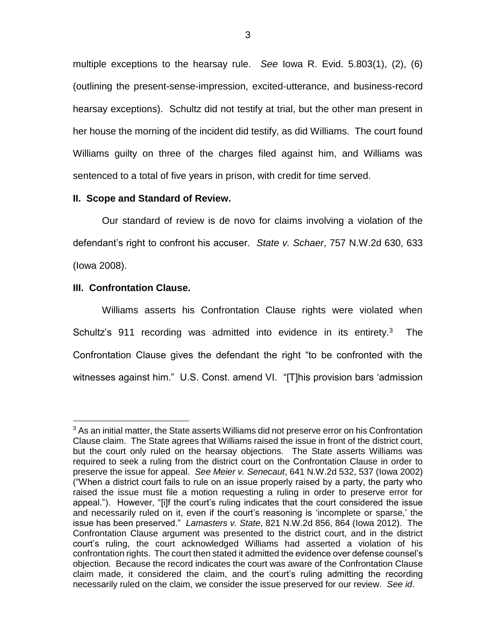multiple exceptions to the hearsay rule. *See* Iowa R. Evid. 5.803(1), (2), (6) (outlining the present-sense-impression, excited-utterance, and business-record hearsay exceptions). Schultz did not testify at trial, but the other man present in her house the morning of the incident did testify, as did Williams. The court found Williams guilty on three of the charges filed against him, and Williams was sentenced to a total of five years in prison, with credit for time served.

## **II. Scope and Standard of Review.**

Our standard of review is de novo for claims involving a violation of the defendant's right to confront his accuser. *State v. Schaer*, 757 N.W.2d 630, 633 (Iowa 2008).

### **III. Confrontation Clause.**

 $\overline{a}$ 

Williams asserts his Confrontation Clause rights were violated when Schultz's 911 recording was admitted into evidence in its entirety.<sup>3</sup> The Confrontation Clause gives the defendant the right "to be confronted with the witnesses against him." U.S. Const. amend VI. "[T]his provision bars 'admission

<sup>&</sup>lt;sup>3</sup> As an initial matter, the State asserts Williams did not preserve error on his Confrontation Clause claim. The State agrees that Williams raised the issue in front of the district court, but the court only ruled on the hearsay objections. The State asserts Williams was required to seek a ruling from the district court on the Confrontation Clause in order to preserve the issue for appeal. *See Meier v. Senecaut*, 641 N.W.2d 532, 537 (Iowa 2002) ("When a district court fails to rule on an issue properly raised by a party, the party who raised the issue must file a motion requesting a ruling in order to preserve error for appeal."). However, "[i]f the court's ruling indicates that the court considered the issue and necessarily ruled on it, even if the court's reasoning is 'incomplete or sparse,' the issue has been preserved." *Lamasters v. State*, 821 N.W.2d 856, 864 (Iowa 2012). The Confrontation Clause argument was presented to the district court, and in the district court's ruling, the court acknowledged Williams had asserted a violation of his confrontation rights. The court then stated it admitted the evidence over defense counsel's objection. Because the record indicates the court was aware of the Confrontation Clause claim made, it considered the claim, and the court's ruling admitting the recording necessarily ruled on the claim, we consider the issue preserved for our review. *See id*.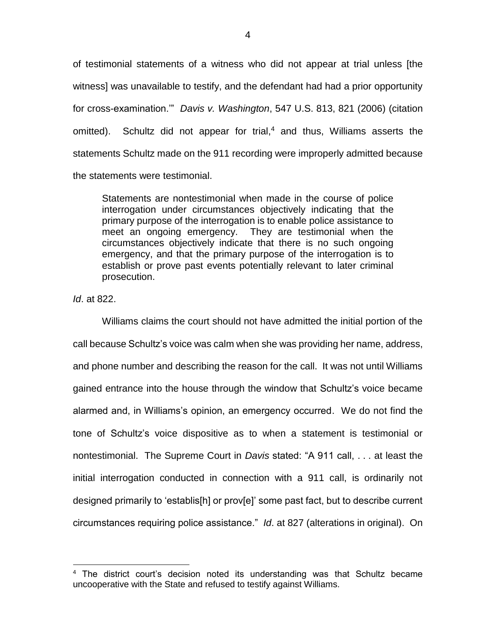of testimonial statements of a witness who did not appear at trial unless [the witness] was unavailable to testify, and the defendant had had a prior opportunity for cross-examination.'" *Davis v. Washington*, 547 U.S. 813, 821 (2006) (citation omitted). Schultz did not appear for trial, <sup>4</sup> and thus, Williams asserts the statements Schultz made on the 911 recording were improperly admitted because the statements were testimonial.

Statements are nontestimonial when made in the course of police interrogation under circumstances objectively indicating that the primary purpose of the interrogation is to enable police assistance to meet an ongoing emergency. They are testimonial when the circumstances objectively indicate that there is no such ongoing emergency, and that the primary purpose of the interrogation is to establish or prove past events potentially relevant to later criminal prosecution.

*Id*. at 822.

 $\overline{a}$ 

Williams claims the court should not have admitted the initial portion of the call because Schultz's voice was calm when she was providing her name, address, and phone number and describing the reason for the call. It was not until Williams gained entrance into the house through the window that Schultz's voice became alarmed and, in Williams's opinion, an emergency occurred. We do not find the tone of Schultz's voice dispositive as to when a statement is testimonial or nontestimonial. The Supreme Court in *Davis* stated: "A 911 call, . . . at least the initial interrogation conducted in connection with a 911 call, is ordinarily not designed primarily to 'establis[h] or prov[e]' some past fact, but to describe current circumstances requiring police assistance." *Id*. at 827 (alterations in original). On

<sup>&</sup>lt;sup>4</sup> The district court's decision noted its understanding was that Schultz became uncooperative with the State and refused to testify against Williams.